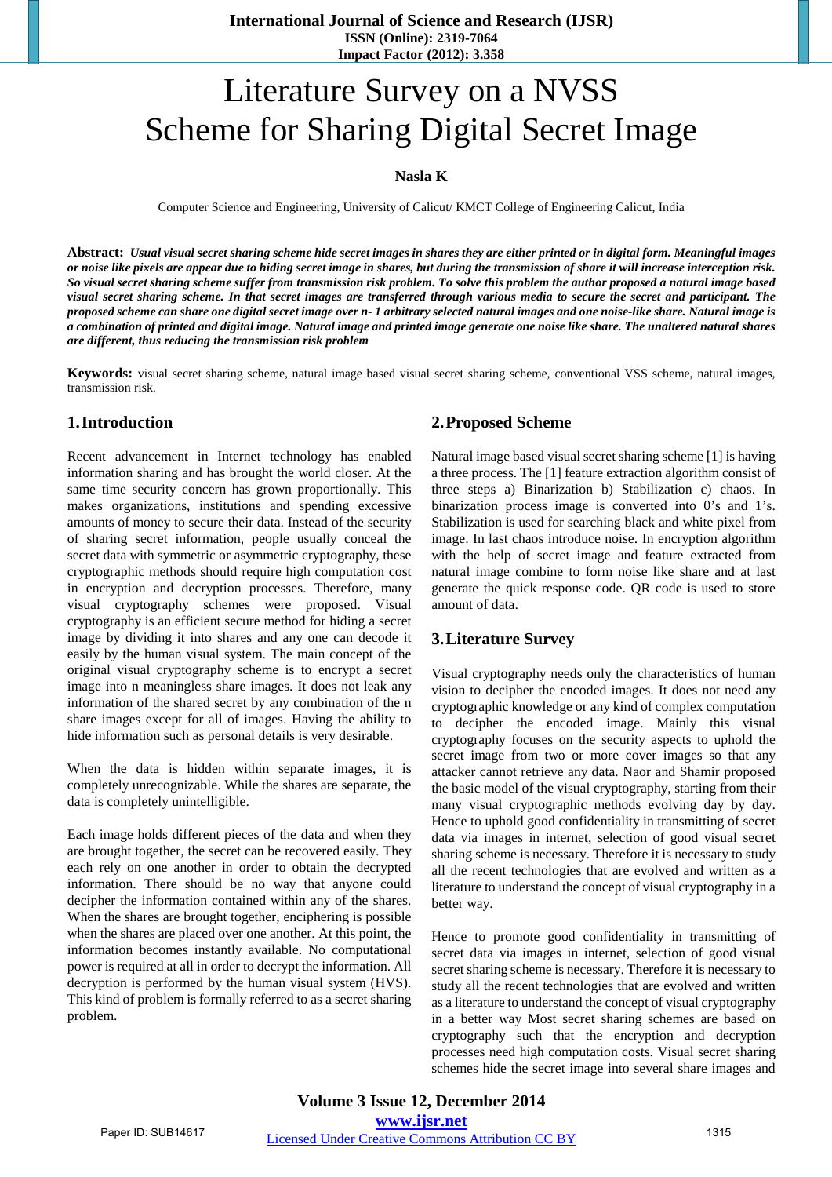# Literature Survey on a NVSS Scheme for Sharing Digital Secret Image

#### **Nasla K**

Computer Science and Engineering, University of Calicut/ KMCT College of Engineering Calicut, India

**Abstract:** *Usual visual secret sharing scheme hide secret images in shares they are either printed or in digital form. Meaningful images or noise like pixels are appear due to hiding secret image in shares, but during the transmission of share it will increase interception risk. So visual secret sharing scheme suffer from transmission risk problem. To solve this problem the author proposed a natural image based visual secret sharing scheme. In that secret images are transferred through various media to secure the secret and participant. The proposed scheme can share one digital secret image over n- 1 arbitrary selected natural images and one noise-like share. Natural image is a combination of printed and digital image. Natural image and printed image generate one noise like share. The unaltered natural shares are different, thus reducing the transmission risk problem*

**Keywords:** visual secret sharing scheme, natural image based visual secret sharing scheme, conventional VSS scheme, natural images, transmission risk.

#### **1.Introduction**

Recent advancement in Internet technology has enabled information sharing and has brought the world closer. At the same time security concern has grown proportionally. This makes organizations, institutions and spending excessive amounts of money to secure their data. Instead of the security of sharing secret information, people usually conceal the secret data with symmetric or asymmetric cryptography, these cryptographic methods should require high computation cost in encryption and decryption processes. Therefore, many visual cryptography schemes were proposed. Visual cryptography is an efficient secure method for hiding a secret image by dividing it into shares and any one can decode it easily by the human visual system. The main concept of the original visual cryptography scheme is to encrypt a secret image into n meaningless share images. It does not leak any information of the shared secret by any combination of the n share images except for all of images. Having the ability to hide information such as personal details is very desirable.

When the data is hidden within separate images, it is completely unrecognizable. While the shares are separate, the data is completely unintelligible.

Each image holds different pieces of the data and when they are brought together, the secret can be recovered easily. They each rely on one another in order to obtain the decrypted information. There should be no way that anyone could decipher the information contained within any of the shares. When the shares are brought together, enciphering is possible when the shares are placed over one another. At this point, the information becomes instantly available. No computational power is required at all in order to decrypt the information. All decryption is performed by the human visual system (HVS). This kind of problem is formally referred to as a secret sharing problem.

#### **2.Proposed Scheme**

Natural image based visual secret sharing scheme [1] is having a three process. The [1] feature extraction algorithm consist of three steps a) Binarization b) Stabilization c) chaos. In binarization process image is converted into 0's and 1's. Stabilization is used for searching black and white pixel from image. In last chaos introduce noise. In encryption algorithm with the help of secret image and feature extracted from natural image combine to form noise like share and at last generate the quick response code. QR code is used to store amount of data.

#### **3.Literature Survey**

Visual cryptography needs only the characteristics of human vision to decipher the encoded images. It does not need any cryptographic knowledge or any kind of complex computation to decipher the encoded image. Mainly this visual cryptography focuses on the security aspects to uphold the secret image from two or more cover images so that any attacker cannot retrieve any data. Naor and Shamir proposed the basic model of the visual cryptography, starting from their many visual cryptographic methods evolving day by day. Hence to uphold good confidentiality in transmitting of secret data via images in internet, selection of good visual secret sharing scheme is necessary. Therefore it is necessary to study all the recent technologies that are evolved and written as a literature to understand the concept of visual cryptography in a better way.

Hence to promote good confidentiality in transmitting of secret data via images in internet, selection of good visual secret sharing scheme is necessary. Therefore it is necessary to study all the recent technologies that are evolved and written as a literature to understand the concept of visual cryptography in a better way Most secret sharing schemes are based on cryptography such that the encryption and decryption processes need high computation costs. Visual secret sharing schemes hide the secret image into several share images and